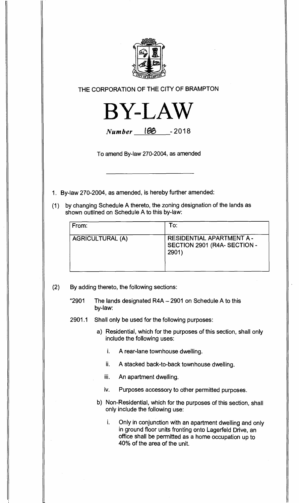

THE CORPORATION OF THE CITY OF BRAMPTON



**Number 188** - 2018

To amend By-law 270-2004, as amended

1. By-law 270-2004, as amended, is hereby further amended:

(1) by changing Schedule A thereto, the zoning designation of the lands as shown outlined on Schedule A to this by-law:

| From:                   | To:                                                                |
|-------------------------|--------------------------------------------------------------------|
| <b>AGRICULTURAL (A)</b> | RESIDENTIAL APARTMENT A -<br>SECTION 2901 (R4A- SECTION -<br>2901) |

(2) By adding thereto, the following sections:

"2901 The lands designated R4A — 2901 on Schedule A to this by-law:

- 2901.1 Shall only be used for the following purposes:
	- a) Residential, which for the purposes of this section, shall only include the following uses:
		- i. A rear-lane townhouse dwelling.
		- ii. A stacked back-to-back townhouse dwelling.
		- iii. An apartment dwelling.
		- iv. Purposes accessory to other permitted purposes.
	- b) Non-Residential, which for the purposes of this section, shall only include the following use:

i. Only in conjunction with an apartment dwelling and only in ground floor units fronting onto Lagerfeld Drive, an office shall be permitted as a home occupation up to 40% of the area of the unit.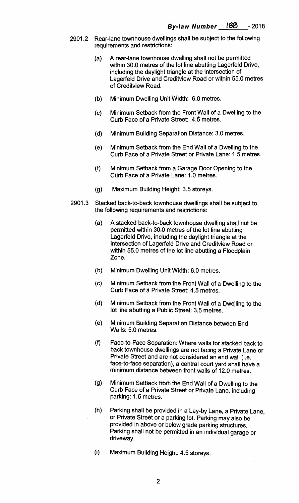- **2901.2 Rear-lane townhouse dwellings shall be subject to the following requirements and restrictions:** 
	- **(a) A rear-lane townhouse dwelling shall not be permitted within 30.0 metres of the lot line abutting Lagerfeld Drive, including the daylight triangle at the intersection of Lagerfeld Drive and Creditview Road or within 55.0 metres of Creditview Road.**
	- **(b) Minimum Dwelling Unit Width: 6.0 metres.**
	- **(c) Minimum Setback from the Front Wall of a Dwelling to the Curb Face of a Private Street: 4.5 metres.**
	- **(d) Minimum Building Separation Distance: 3.0 metres.**
	- **(e) Minimum Setback from the End Wall of a Dwelling to the Curb Face of a Private Street or Private Lane: 1.5 metres.**
	- **(f) Minimum Setback from a Garage Door Opening to the Curb Face of a Private Lane: 1.0 metres.**
	- **(g) Maximum Building Height: 3.5 storeys.**
- **2901.3 Stacked back-to-back townhouse dwellings shall be subject to the following requirements and restrictions:** 
	- **(a) A stacked back-to-back townhouse dwelling shall not be permitted within 30.0 metres of the lot line abutting Lagerfeld Drive, including the daylight triangle at the intersection of Lagerfeld Drive and Creditview Road or within 55.0 metres of the lot line abutting a Floodplain Zone.**
	- **(b) Minimum Dwelling Unit Width: 6.0 metres.**
	- **(c) Minimum Setback from the Front Wall of a Dwelling to the Curb Face of a Private Street: 4.5 metres.**
	- **(d) Minimum Setback from the Front Wall of a Dwelling to the lot line abutting a Public Street: 3.5 metres.**
	- **(e) Minimum Building Separation Distance between End Walls: 5.0 metres.**
	- **(f) Face-to-Face Separation: Where walls for stacked back to back townhouse dwellings are not facing a Private Lane or Private Street and are not considered an end wall (i.e. face-to-face separation), a central court yard shall have a minimum distance between front walls of 12.0 metres.**
	- **(g) Minimum Setback from the End Wall of a Dwelling to the Curb Face of a Private Street or Private Lane, including parking: 1.5 metres.**
	- **(h**.**) Parking shall be provided in a Lay-by Lane, a Private Lane, or Private Street or a parking lot. Parking may also be provided in above or below grade parking structures. Parking shall not be permitted in an individual garage or driveway.**
	- **(i) Maximum Building Height: 4.5 storeys.**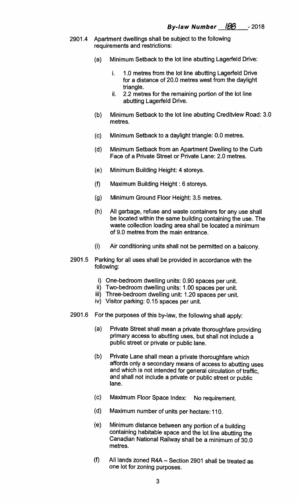- **2901.4 Apartment dwellings shall be subject to the following requirements and restrictions:** 
	- **(a) Minimum Setback to the lot line abutting Lagerfeld Drive:** 
		- **i. 1.0 metres from the lot line abutting Lagerfeld Drive for a distance of 20.0 metres west from the daylight triangle.**
		- **ii. 2.2 metres for the remaining portion of the lot line abutting Lagerfeld Drive.**
	- **(b) Minimum Setback to the lot line abutting Creditview Road: 3.0 metres.**
	- **(c) Minimum Setback to a daylight triangle: 0.0 metres.**
	- **(d) Minimum Setback from an Apartment Dwelling to the Curb Face of a Private Street or Private Lane: 2.0 metres.**
	- **(e) Minimum Building Height: 4 storeys.**
	- **(f) Maximum Building Height : 6 storeys.**
	- **(g) Minimum Ground Floor Height: 3.5 metres.**
	- **(h) All garbage, refuse and waste containers for any use shall be located within the same building containing the use. The waste collection loading area shall be located a minimum of 9.0 metres from the main entrance.**
	- (i) **Air conditioning units shall not be permitted on a balcony.**
- **2901.5 Parking for all uses shall be provided in accordance with the following:** 
	- **i) One-bedroom dwelling units: 0.90 spaces per unit.**
	- **ii) Two-bedroom dwelling units 1.00 spaces per unit.**
	- **iii) Three-bedroom dwelling unit: 1.20 spaces per unit.**
	- **iv) Visitor parking: 0.15 spaces per unit.**
- **2901.6 For the purposes of this by-law, the following shall apply:** 
	- **(a) Private Street shall mean a private thoroughfare providing primary access to abutting uses, but shall not include a public street or private or public lane.**
	- **(b) Private Lane shall mean a private thoroughfare which affords only a secondary means of access to abutting uses and which is not intended for general circulation of traffic, and shall not include a private or public street or public lane.**
	- **(c) Maximum Floor Space Index: No requirement.**
	- **(d) Maximum number of units per hectare:110.**
	- **(e) Minimum distance between any portion of a building containing habitable space and the lot line abutting the Canadian National Railway shall be a minimum of 30.0 metres.**
	- **(f) All lands zoned R4A Section 2901 shall be treated as one lot for zoning purposes.**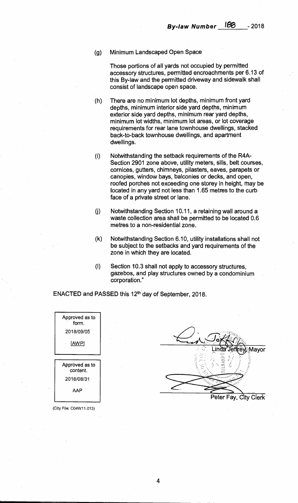**(g) Minimum Landscaped Open Space** 

**Those portions of all yards not occupied by permitted accessory structures, permitted encroachments per 6.13 of this By-law and the permitted driveway and sidewalk shall consist of landscape open space.** 

**(h) There are no minimum lot depths, minimum front yard depths, minimum interior side yard depths, minimum exterior side yard depths, minimum rear yard depths, minimum lot widths, minimum lot areas, or lot coverage requirements for rear lane townhouse dwellings, stacked back-to-back townhouse dwellings, and apartment dwellings.** 

- **(i) Notwithstanding the setback requirements of the R4A-Section 2901 zone above, utility meters, sills, belt courses, cornices, gutters, chimneys, pilasters, eaves, parapets or canopies, window bays, balconies or decks, and open, roofed porches not exceeding one storey in height, may be located in any yard not less than 1.65 metres to the curb face of a private street or lane.**
- **Notwithstanding Section 10.11, a retaining wall around a**   $(i)$ **waste collection area shall be permitted to be located 0.6 metres to a non-residential zone.**
- $(k)$ **Notwithstanding Section 6.10, utility installations shall not be subject to the setbacks and yard requirements of the zone in which they are located.**
- $(1)$ **Section 10.3 shall not apply to accessory structures, gazebos, and play structures owned by a condominium corporation."**

**ENACTED and PASSED this 12th'day of September, 2018.** 

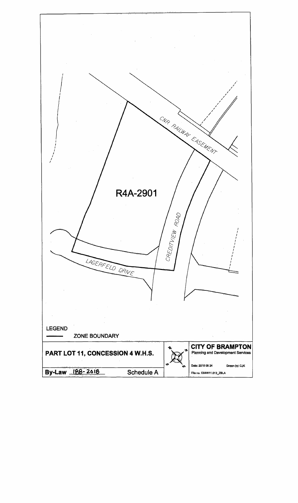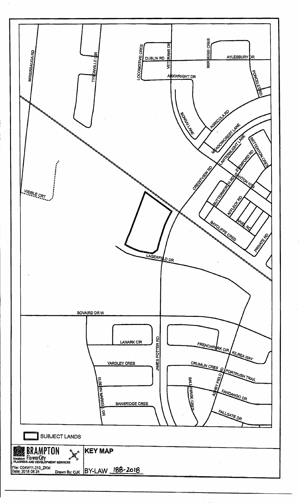